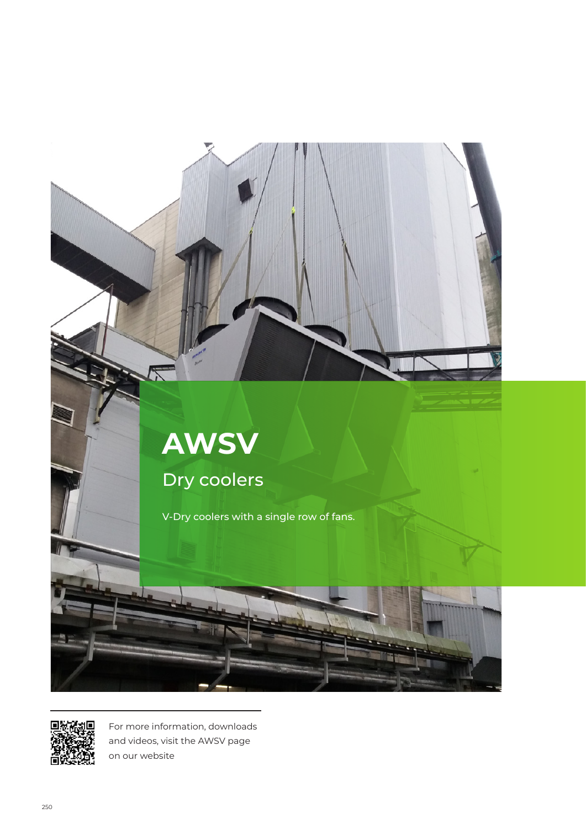



For more information, downloads and videos, visit the AWSV page on our website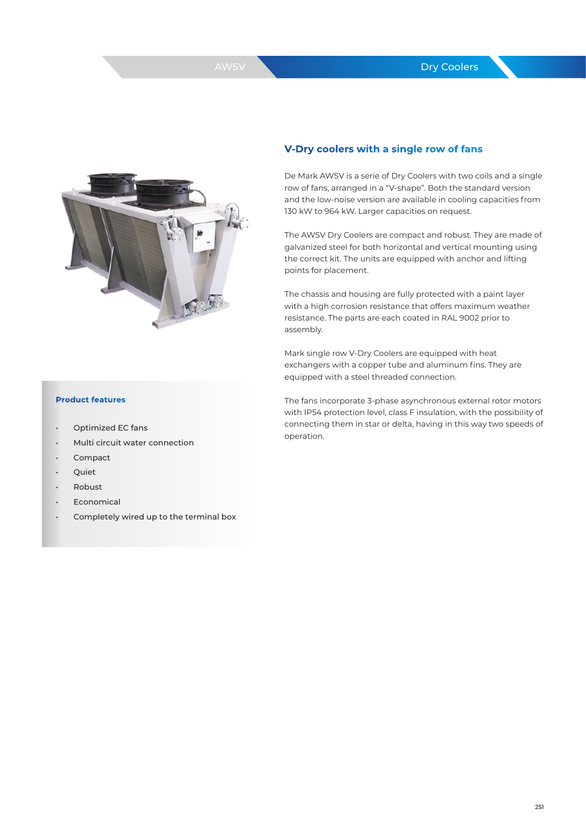

### **V-Dry coolers with a single row of fans**

De Mark AWSV is a serie of Dry Coolers with two coils and a single row of fans, arranged in a "V-shape". Both the standard version and the low-noise version are available in cooling capacities from 130 kW to 964 kW. Larger capacities on request.

The AWSV Dry Coolers are compact and robust. They are made of galvanized steel for both horizontal and vertical mounting using the correct kit. The units are equipped with anchor and lifting points for placement.

The chassis and housing are fully protected with a paint layer with a high corrosion resistance that offers maximum weather resistance. The parts are each coated in RAL 9002 prior to assembly.

Mark single row V-Dry Coolers are equipped with heat exchangers with a copper tube and aluminum fins. They are equipped with a steel threaded connection.

The fans incorporate 3-phase asynchronous external rotor motors with IP54 protection level, class F insulation, with the possibility of connecting them in star or delta, having in this way two speeds of operation.

#### **Product features**

- Optimized EC fans
- Multi circuit water connection
- **Compact**
- Quiet
- Robust
- **Economical**
- Completely wired up to the terminal box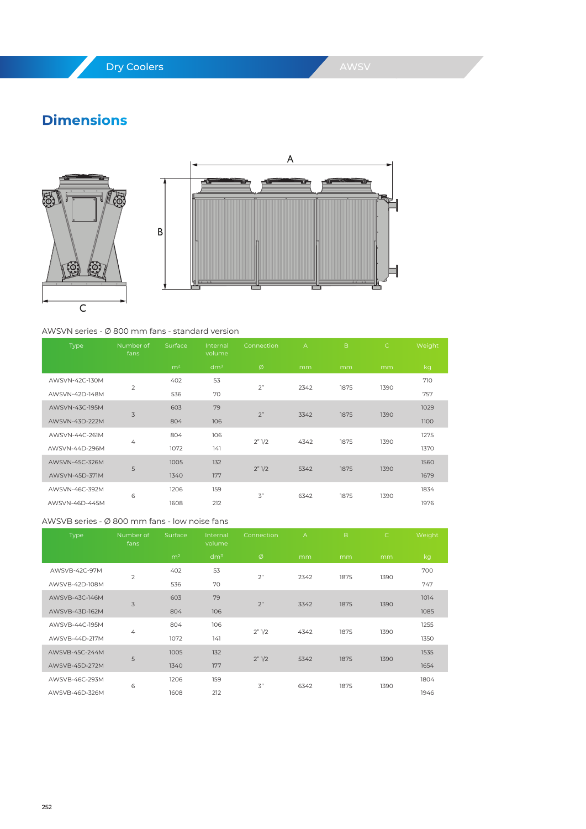### Dry Coolers

## **Dimensions**





#### AWSVN series - Ø 800 mm fans - standard version

| Type           | Number of<br>fans | Surface        | Internal<br>volume | Connection       | $\overline{A}$ | B    | $\mathsf{C}$ | Weight |
|----------------|-------------------|----------------|--------------------|------------------|----------------|------|--------------|--------|
|                |                   | m <sup>2</sup> | dm <sup>3</sup>    | Ø                | mm             | mm   | mm           | kg     |
| AWSVN-42C-130M |                   | 402            | 53                 |                  |                |      |              | 710    |
| AWSVN-42D-148M | 2                 | 536            | 70                 | 2 <sup>n</sup>   | 2342           | 1875 | 1390         | 757    |
| AWSVN-43C-195M | 3                 | 603            | 79                 | 2 <sup>n</sup>   | 3342           | 1875 | 1390         | 1029   |
| AWSVN-43D-222M |                   | 804            | 106                |                  |                |      |              | 1100   |
| AWSVN-44C-261M | 4                 | 804            | 106                | 2" 1/2           | 4342           | 1875 | 1390         | 1275   |
| AWSVN-44D-296M |                   | 1072           | 141                |                  |                |      |              | 1370   |
| AWSVN-45C-326M | 5                 | 1005           | 132                | 2" 1/2           | 5342           | 1875 | 1390         | 1560   |
| AWSVN-45D-371M |                   | 1340           | 177                |                  |                |      |              | 1679   |
| AWSVN-46C-392M | 6                 | 1206           | 159                | $\mathfrak{Z}^n$ | 6342           | 1875 | 1390         | 1834   |
| AWSVN-46D-445M |                   | 1608           | 212                |                  |                |      |              | 1976   |

#### AWSVB series - Ø 800 mm fans - low noise fans

| Type           | Number of<br>fans | Surface        | Internal<br>volume | Connection      | $\mathsf{A}$ | B    | $\mathsf{C}$ | Weight |
|----------------|-------------------|----------------|--------------------|-----------------|--------------|------|--------------|--------|
|                |                   | m <sup>2</sup> | dm <sup>3</sup>    | Ø               | mm           | mm   | mm           | kg     |
| AWSVB-42C-97M  | 2                 | 402            | 53                 | 2 <sup>n</sup>  | 2342         | 1875 | 1390         | 700    |
| AWSVB-42D-108M |                   | 536            | 70                 |                 |              |      |              | 747    |
| AWSVB-43C-146M | 3                 | 603            | 79                 | 2 <sup>n</sup>  | 3342         | 1875 | 1390         | 1014   |
| AWSVB-43D-162M |                   | 804            | 106                |                 |              |      |              | 1085   |
| AWSVB-44C-195M |                   | 804            | 106                |                 |              | 1875 | 1390         | 1255   |
| AWSVB-44D-217M | $\overline{4}$    | 1072           | 141                | 2" 1/2          | 4342         |      |              | 1350   |
| AWSVB-45C-244M | 5                 | 1005           | 132                | 2" 1/2          | 5342         | 1875 | 1390         | 1535   |
| AWSVB-45D-272M |                   | 1340           | 177                |                 |              |      |              | 1654   |
| AWSVB-46C-293M | 6                 | 1206           | 159                | $\mathcal{Z}''$ | 6342         |      |              | 1804   |
| AWSVB-46D-326M |                   | 1608           | 212                |                 |              | 1875 | 1390         | 1946   |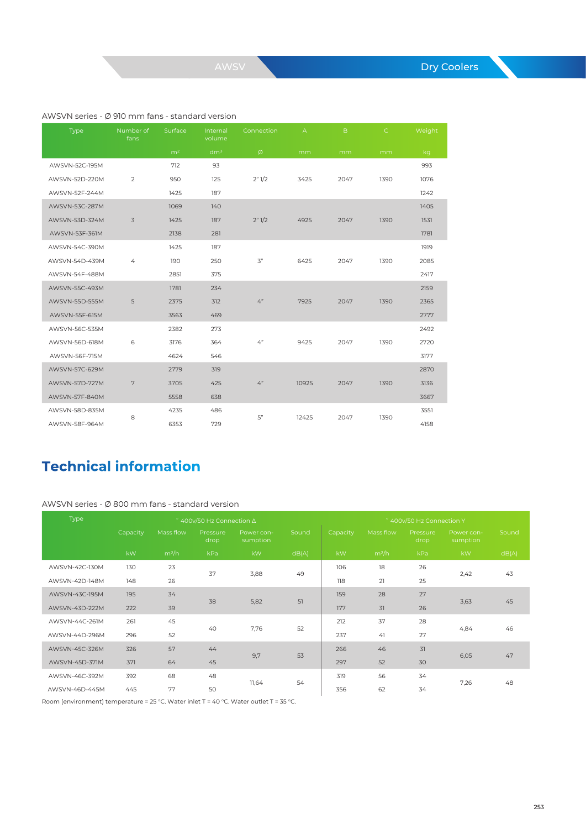#### AWSVN series - Ø 910 mm fans - standard version

| Type           | Number of<br>fans | Surface        | Internal<br>volume | Connection       | $\overline{A}$ | B.   | $\mathsf{C}$ | Weight |
|----------------|-------------------|----------------|--------------------|------------------|----------------|------|--------------|--------|
|                |                   | m <sup>2</sup> | dm <sup>3</sup>    | Ø                | mm             | mm   | mm           | kg     |
| AWSVN-52C-195M |                   | 712            | 93                 |                  |                |      |              | 993    |
| AWSVN-52D-220M | 2                 | 950            | 125                | 2" 1/2           | 3425           | 2047 | 1390         | 1076   |
| AWSVN-52F-244M |                   | 1425           | 187                |                  |                |      |              | 1242   |
| AWSVN-53C-287M |                   | 1069           | 140                |                  |                |      |              | 1405   |
| AWSVN-53D-324M | 3                 | 1425           | 187                | 2" 1/2           | 4925           | 2047 | 1390         | 1531   |
| AWSVN-53F-361M |                   | 2138           | 281                |                  |                |      |              | 1781   |
| AWSVN-54C-390M |                   | 1425           | 187                |                  |                |      |              | 1919   |
| AWSVN-54D-439M | $\overline{4}$    | 190            | 250                | $\mathfrak{Z}^n$ | 6425           | 2047 | 1390         | 2085   |
| AWSVN-54F-488M |                   | 2851           | 375                |                  |                |      |              | 2417   |
| AWSVN-55C-493M |                   | 1781           | 234                |                  |                |      |              | 2159   |
| AWSVN-55D-555M | 5                 | 2375           | 312                | 4 <sup>n</sup>   | 7925           | 2047 | 1390         | 2365   |
| AWSVN-55F-615M |                   | 3563           | 469                |                  |                |      |              | 2777   |
| AWSVN-56C-535M |                   | 2382           | 273                |                  |                |      |              | 2492   |
| AWSVN-56D-618M | 6                 | 3176           | 364                | 4 <sup>n</sup>   | 9425           | 2047 | 1390         | 2720   |
| AWSVN-56F-715M |                   | 4624           | 546                |                  |                |      |              | 3177   |
| AWSVN-57C-629M |                   | 2779           | 319                |                  |                |      |              | 2870   |
| AWSVN-57D-727M | 7                 | 3705           | 425                | 4"               | 10925          | 2047 | 1390         | 3136   |
| AWSVN-57F-840M |                   | 5558           | 638                |                  |                |      |              | 3667   |
| AWSVN-58D-835M |                   | 4235           | 486                |                  |                |      |              | 3551   |
| AWSVN-58F-964M | 8                 | 6353           | 729                | 5"               | 12425          | 2047 | 1390         | 4158   |

# **Technical information**

#### AWSVN series - Ø 800 mm fans - standard version

| <b>Type</b>    |          |           | $400$ v/50 Hz Connection $\Delta$ |                        | 400v/50 Hz Connection Y |          |           |                  |                        |       |      |    |
|----------------|----------|-----------|-----------------------------------|------------------------|-------------------------|----------|-----------|------------------|------------------------|-------|------|----|
|                | Capacity | Mass flow | Pressure<br>drop                  | Power con-<br>sumption | Sound                   | Capacity | Mass flow | Pressure<br>drop | Power con-<br>sumption | Sound |      |    |
|                | kW       | $m^3/h$   | kPa                               | <b>kW</b>              | dB(A)                   | kW       | $m^3/h$   | kPa              | <b>kW</b>              | dB(A) |      |    |
| AWSVN-42C-130M | 130      | 23        | 37                                | 3,88                   | 49                      | 106      | 18        | 26               | 2,42                   | 43    |      |    |
| AWSVN-42D-148M | 148      | 26        |                                   |                        |                         | 118      | 21        | 25               |                        |       |      |    |
| AWSVN-43C-195M | 195      | 34        | 38                                | 5,82                   | 51                      | 159      | 28        | 27               | 3,63                   | 45    |      |    |
| AWSVN-43D-222M | 222      | 39        |                                   |                        |                         | 177      | 31        | 26               |                        |       |      |    |
| AWSVN-44C-261M | 261      | 45        |                                   |                        | 40                      | 7,76     |           | 212              | 37                     | 28    | 4,84 | 46 |
| AWSVN-44D-296M | 296      | 52        |                                   |                        | 52                      | 237      | 41        | 27               |                        |       |      |    |
| AWSVN-45C-326M | 326      | 57        | 44                                | 9,7                    | 53                      | 266      | 46        | 31               | 6,05                   | 47    |      |    |
| AWSVN-45D-371M | 371      | 64        | 45                                |                        |                         | 297      | 52        | 30               |                        |       |      |    |
| AWSVN-46C-392M | 392      | 68        | 48                                | 11,64                  |                         | 319      | 56        | 34               | 7,26                   | 48    |      |    |
| AWSVN-46D-445M | 445      | 77        | 50                                |                        | 54                      | 356      | 62        | 34               |                        |       |      |    |

Room (environment) temperature = 25 °C. Water inlet T = 40 °C. Water outlet T = 35 °C.